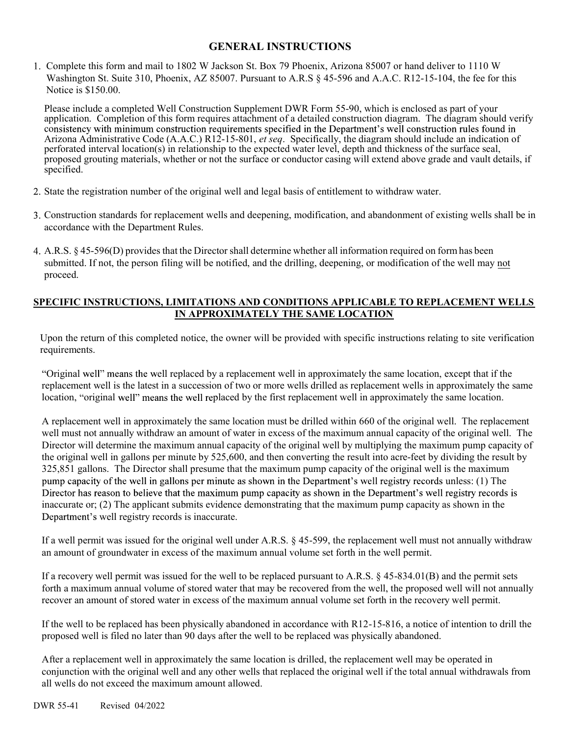# GENERAL INSTRUCTIONS

Complete this form and mail to 1802 W Jackson St. Box 79 Phoenix, Arizona 85007 or hand deliver to 1110 W Washington St. Suite 310, Phoenix, AZ 85007. Pursuant to A.R.S § 45-596 and A.A.C. R12-15-104, the fee for this Notice is \$150.00.

Please include a completed Well Construction Supplement DWR Form 55-90, which is enclosed as part of your application. Completion of this form requires attachment of a detailed construction diagram. The diagram should verify consistency with minimum construction requirements specified in the Department's well construction rules found in<br>Arizona Administrative Code (A.A.C.) R12-15-801, *et seq.* Specifically, the diagram should include an indic perforated interval location(s) in relationship to the expected water level, depth and thickness of the surface seal, proposed grouting materials, whether or not the surface or conductor casing will extend above grade and vault details, if specified.

- State the registration number of the original well and legal basis of entitlement to withdraw water.
- Construction standards for replacement wells and deepening, modification, and abandonment of existing wells shall be in accordance with the Department Rules.
- A.R.S. § 45-596(D) provides that the Director shall determine whether all information required on form has been submitted. If not, the person filing will be notified, and the drilling, deepening, or modification of the well may not proceed.

#### SPECIFIC INSTRUCTIONS, LIMITATIONS AND CONDITIONS APPLICABLE TO REPLACEMENT WELLS IN APPROXIMATELY THE SAME LOCATION

Upon the return of this completed notice, the owner will be provided with specific instructions relating to site verification requirements.

"Original well" means the well replaced by a replacement well in approximately the same location, except that if the replacement well is the latest in a succession of two or more wells drilled as replacement wells in approximately the same location, "original well" means the well replaced by the first replacement well in approximately the same location.

A replacement well in approximately the same location must be drilled within 660 of the original well. The replacement well must not annually withdraw an amount of water in excess of the maximum annual capacity of the original well. The Director will determine the maximum annual capacity of the original well by multiplying the maximum pump capacity of the original well in gallons per minute by 525,600, and then converting the result into acre-feet by dividing the result by 325,851 gallons. The Director shall presume that the maximum pump capacity of the original well is the maximum pump capacity of the well in gallons per minute as shown in the Department's well registry records unless: (1) The Director has reason to believe that the maximum pump capacity as shown in the Department's well registry records is inaccurate or; (2) The applicant submits evidence demonstrating that the maximum pump capacity as shown in the Department's well registry records is inaccurate.

If a well permit was issued for the original well under A.R.S. § 45-599, the replacement well must not annually withdraw an amount of groundwater in excess of the maximum annual volume set forth in the well permit.

If a recovery well permit was issued for the well to be replaced pursuant to A.R.S. § 45-834.01(B) and the permit sets forth a maximum annual volume of stored water that may be recovered from the well, the proposed well will not annually recover an amount of stored water in excess of the maximum annual volume set forth in the recovery well permit.

If the well to be replaced has been physically abandoned in accordance with R12-15-816, a notice of intention to drill the proposed well is filed no later than 90 days after the well to be replaced was physically abandoned.

After a replacement well in approximately the same location is drilled, the replacement well may be operated in conjunction with the original well and any other wells that replaced the original well if the total annual withdrawals from all wells do not exceed the maximum amount allowed.